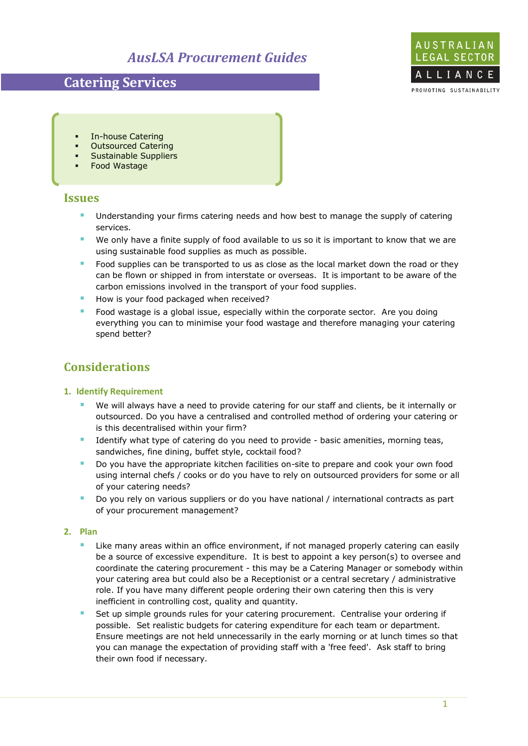# *AusLSA Procurement Guides*

# **Catering Services**



- In-house Catering
- Outsourced Catering
- Sustainable Suppliers
- Food Wastage

## **Issues**

- **Understanding your firms catering needs and how best to manage the supply of catering** services.
- We only have a finite supply of food available to us so it is important to know that we are using sustainable food supplies as much as possible.
- Food supplies can be transported to us as close as the local market down the road or they can be flown or shipped in from interstate or overseas. It is important to be aware of the carbon emissions involved in the transport of your food supplies.
- How is your food packaged when received?
- Food wastage is a global issue, especially within the corporate sector. Are you doing everything you can to minimise your food wastage and therefore managing your catering spend better?

## **Considerations**

### **1. Identify Requirement**

- We will always have a need to provide catering for our staff and clients, be it internally or outsourced. Do you have a centralised and controlled method of ordering your catering or is this decentralised within your firm?
- I dentify what type of catering do you need to provide basic amenities, morning teas, sandwiches, fine dining, buffet style, cocktail food?
- Do you have the appropriate kitchen facilities on-site to prepare and cook your own food using internal chefs / cooks or do you have to rely on outsourced providers for some or all of your catering needs?
- Do you rely on various suppliers or do you have national / international contracts as part of your procurement management?

### **2. Plan**

- Like many areas within an office environment, if not managed properly catering can easily be a source of excessive expenditure. It is best to appoint a key person(s) to oversee and coordinate the catering procurement - this may be a Catering Manager or somebody within your catering area but could also be a Receptionist or a central secretary / administrative role. If you have many different people ordering their own catering then this is very inefficient in controlling cost, quality and quantity.
- Set up simple grounds rules for your catering procurement. Centralise your ordering if possible. Set realistic budgets for catering expenditure for each team or department. Ensure meetings are not held unnecessarily in the early morning or at lunch times so that you can manage the expectation of providing staff with a 'free feed'. Ask staff to bring their own food if necessary.